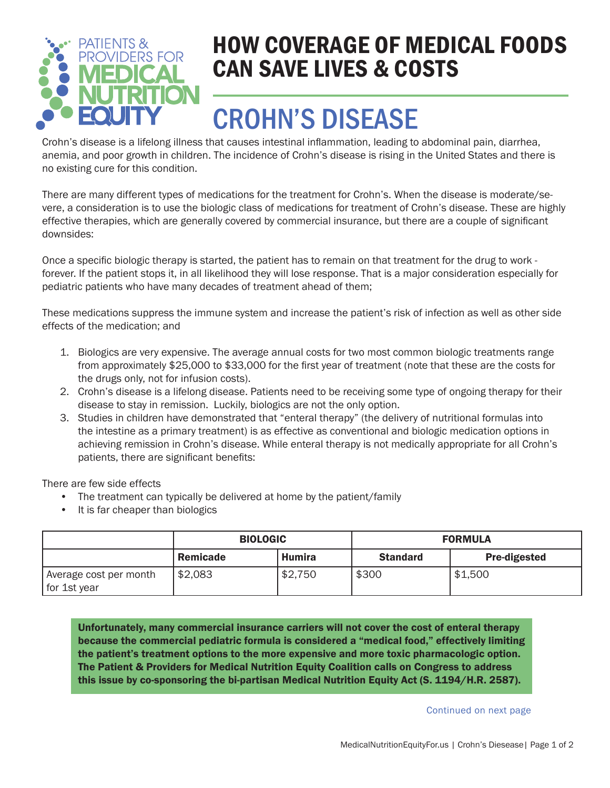

### HOW COVERAGE OF MEDICAL FOODS CAN SAVE LIVES & COSTS

# CROHN'S DISEASE

Crohn's disease is a lifelong illness that causes intestinal inflammation, leading to abdominal pain, diarrhea, anemia, and poor growth in children. The incidence of Crohn's disease is rising in the United States and there is no existing cure for this condition.

There are many different types of medications for the treatment for Crohn's. When the disease is moderate/severe, a consideration is to use the biologic class of medications for treatment of Crohn's disease. These are highly effective therapies, which are generally covered by commercial insurance, but there are a couple of significant downsides:

Once a specific biologic therapy is started, the patient has to remain on that treatment for the drug to work forever. If the patient stops it, in all likelihood they will lose response. That is a major consideration especially for pediatric patients who have many decades of treatment ahead of them;

These medications suppress the immune system and increase the patient's risk of infection as well as other side effects of the medication; and

- 1. Biologics are very expensive. The average annual costs for two most common biologic treatments range from approximately \$25,000 to \$33,000 for the first year of treatment (note that these are the costs for the drugs only, not for infusion costs).
- 2. Crohn's disease is a lifelong disease. Patients need to be receiving some type of ongoing therapy for their disease to stay in remission. Luckily, biologics are not the only option.
- 3. Studies in children have demonstrated that "enteral therapy" (the delivery of nutritional formulas into the intestine as a primary treatment) is as effective as conventional and biologic medication options in achieving remission in Crohn's disease. While enteral therapy is not medically appropriate for all Crohn's patients, there are significant benefits:

There are few side effects

- The treatment can typically be delivered at home by the patient/family
- It is far cheaper than biologics

|                                        | <b>BIOLOGIC</b> |         | <b>FORMULA</b>  |                     |
|----------------------------------------|-----------------|---------|-----------------|---------------------|
|                                        | Remicade        | Humira  | <b>Standard</b> | <b>Pre-digested</b> |
| Average cost per month<br>for 1st year | \$2,083         | \$2,750 | \$300           | \$1,500             |

Unfortunately, many commercial insurance carriers will not cover the cost of enteral therapy because the commercial pediatric formula is considered a "medical food," effectively limiting the patient's treatment options to the more expensive and more toxic pharmacologic option. The Patient & Providers for Medical Nutrition Equity Coalition calls on Congress to address this issue by co-sponsoring the bi-partisan Medical Nutrition Equity Act (S. 1194/H.R. 2587).

Continued on next page